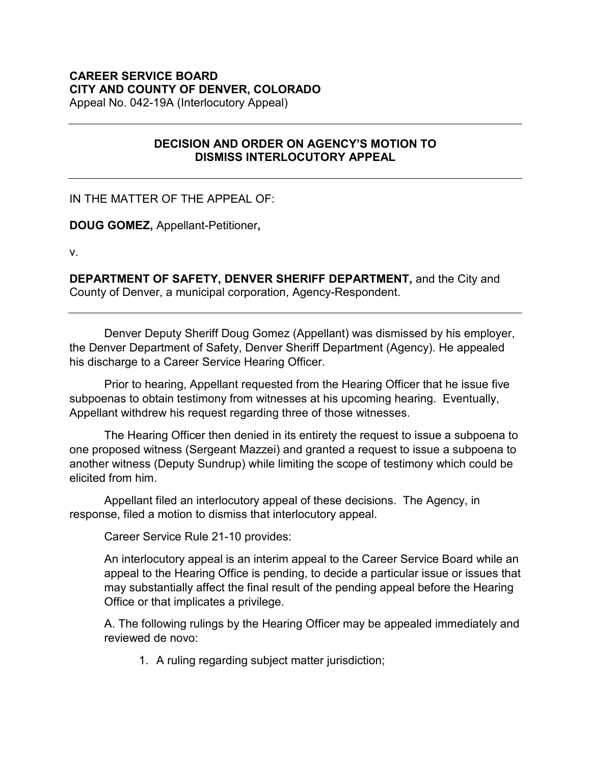## **CAREER SERVICE BOARD CITY AND COUNTY OF DENVER, COLORADO**

Appeal No. 042-19A (Interlocutory Appeal)

## **DECISION AND ORDER ON AGENCY'S MOTION TO DISMISS INTERLOCUTORY APPEAL**

IN THE MATTER OF THE APPEAL OF:

**DOUG GOMEZ,** Appellant-Petitioner**,**

v.

**DEPARTMENT OF SAFETY, DENVER SHERIFF DEPARTMENT,** and the City and County of Denver, a municipal corporation, Agency-Respondent.

Denver Deputy Sheriff Doug Gomez (Appellant) was dismissed by his employer, the Denver Department of Safety, Denver Sheriff Department (Agency). He appealed his discharge to a Career Service Hearing Officer.

Prior to hearing, Appellant requested from the Hearing Officer that he issue five subpoenas to obtain testimony from witnesses at his upcoming hearing. Eventually, Appellant withdrew his request regarding three of those witnesses.

The Hearing Officer then denied in its entirety the request to issue a subpoena to one proposed witness (Sergeant Mazzei) and granted a request to issue a subpoena to another witness (Deputy Sundrup) while limiting the scope of testimony which could be elicited from him.

Appellant filed an interlocutory appeal of these decisions. The Agency, in response, filed a motion to dismiss that interlocutory appeal.

Career Service Rule 21-10 provides:

An interlocutory appeal is an interim appeal to the Career Service Board while an appeal to the Hearing Office is pending, to decide a particular issue or issues that may substantially affect the final result of the pending appeal before the Hearing Office or that implicates a privilege.

A. The following rulings by the Hearing Officer may be appealed immediately and reviewed de novo:

1. A ruling regarding subject matter jurisdiction;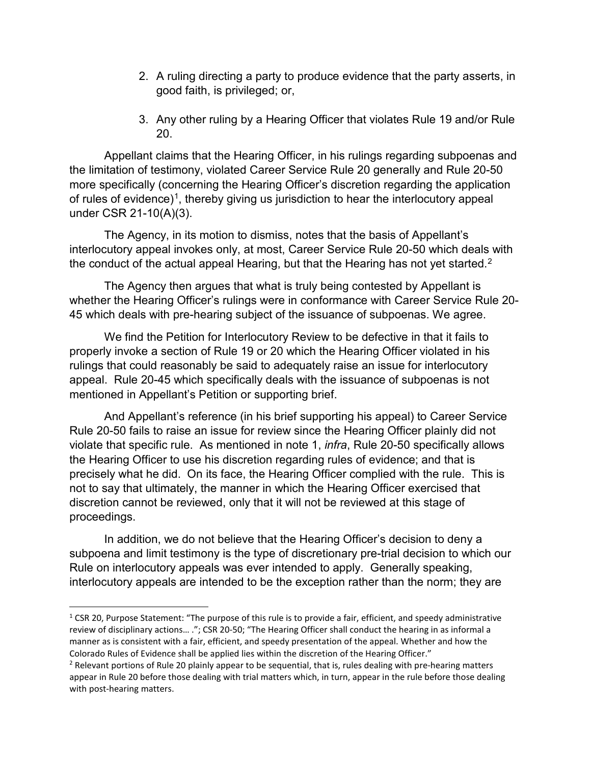- 2. A ruling directing a party to produce evidence that the party asserts, in good faith, is privileged; or,
- 3. Any other ruling by a Hearing Officer that violates Rule 19 and/or Rule 20.

Appellant claims that the Hearing Officer, in his rulings regarding subpoenas and the limitation of testimony, violated Career Service Rule 20 generally and Rule 20-50 more specifically (concerning the Hearing Officer's discretion regarding the application of rules of evidence)<sup>[1](#page-1-0)</sup>, thereby giving us jurisdiction to hear the interlocutory appeal under CSR 21-10(A)(3).

The Agency, in its motion to dismiss, notes that the basis of Appellant's interlocutory appeal invokes only, at most, Career Service Rule 20-50 which deals with the conduct of the actual appeal Hearing, but that the Hearing has not yet started. $^2$ 

The Agency then argues that what is truly being contested by Appellant is whether the Hearing Officer's rulings were in conformance with Career Service Rule 20- 45 which deals with pre-hearing subject of the issuance of subpoenas. We agree.

We find the Petition for Interlocutory Review to be defective in that it fails to properly invoke a section of Rule 19 or 20 which the Hearing Officer violated in his rulings that could reasonably be said to adequately raise an issue for interlocutory appeal. Rule 20-45 which specifically deals with the issuance of subpoenas is not mentioned in Appellant's Petition or supporting brief.

And Appellant's reference (in his brief supporting his appeal) to Career Service Rule 20-50 fails to raise an issue for review since the Hearing Officer plainly did not violate that specific rule. As mentioned in note 1, *infra*, Rule 20-50 specifically allows the Hearing Officer to use his discretion regarding rules of evidence; and that is precisely what he did. On its face, the Hearing Officer complied with the rule. This is not to say that ultimately, the manner in which the Hearing Officer exercised that discretion cannot be reviewed, only that it will not be reviewed at this stage of proceedings.

In addition, we do not believe that the Hearing Officer's decision to deny a subpoena and limit testimony is the type of discretionary pre-trial decision to which our Rule on interlocutory appeals was ever intended to apply. Generally speaking, interlocutory appeals are intended to be the exception rather than the norm; they are

<span id="page-1-0"></span> $1$  CSR 20, Purpose Statement: "The purpose of this rule is to provide a fair, efficient, and speedy administrative review of disciplinary actions… ."; CSR 20-50; "The Hearing Officer shall conduct the hearing in as informal a manner as is consistent with a fair, efficient, and speedy presentation of the appeal. Whether and how the Colorado Rules of Evidence shall be applied lies within the discretion of the Hearing Officer."

<span id="page-1-1"></span> $<sup>2</sup>$  Relevant portions of Rule 20 plainly appear to be sequential, that is, rules dealing with pre-hearing matters</sup> appear in Rule 20 before those dealing with trial matters which, in turn, appear in the rule before those dealing with post-hearing matters.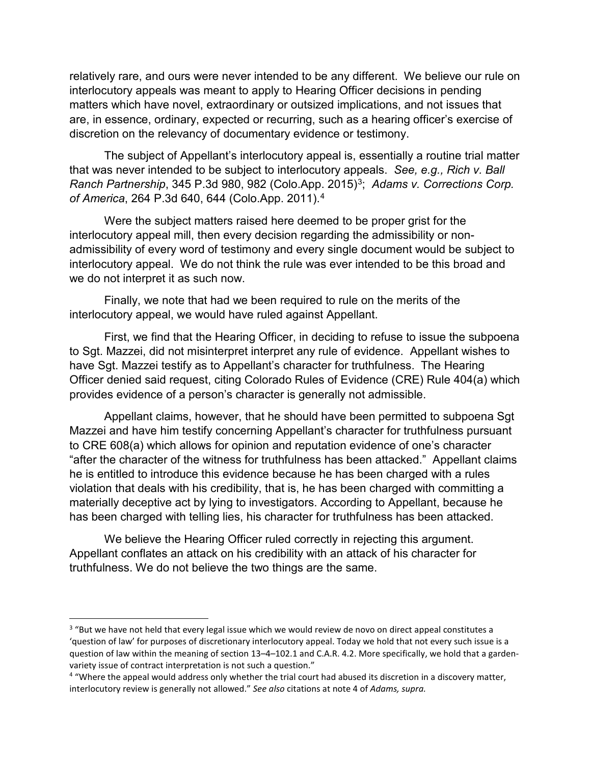relatively rare, and ours were never intended to be any different. We believe our rule on interlocutory appeals was meant to apply to Hearing Officer decisions in pending matters which have novel, extraordinary or outsized implications, and not issues that are, in essence, ordinary, expected or recurring, such as a hearing officer's exercise of discretion on the relevancy of documentary evidence or testimony.

The subject of Appellant's interlocutory appeal is, essentially a routine trial matter that was never intended to be subject to interlocutory appeals. *See, e.g., Rich v. Ball Ranch Partnership*, [3](#page-2-0)45 P.3d 980, 982 (Colo.App. 2015)<sup>3</sup>; *Adams v. Corrections Corp. of America*, 264 P.3d 640, 644 (Colo.App. 2011). [4](#page-2-1)

Were the subject matters raised here deemed to be proper grist for the interlocutory appeal mill, then every decision regarding the admissibility or nonadmissibility of every word of testimony and every single document would be subject to interlocutory appeal. We do not think the rule was ever intended to be this broad and we do not interpret it as such now.

Finally, we note that had we been required to rule on the merits of the interlocutory appeal, we would have ruled against Appellant.

First, we find that the Hearing Officer, in deciding to refuse to issue the subpoena to Sgt. Mazzei, did not misinterpret interpret any rule of evidence. Appellant wishes to have Sgt. Mazzei testify as to Appellant's character for truthfulness. The Hearing Officer denied said request, citing Colorado Rules of Evidence (CRE) Rule 404(a) which provides evidence of a person's character is generally not admissible.

Appellant claims, however, that he should have been permitted to subpoena Sgt Mazzei and have him testify concerning Appellant's character for truthfulness pursuant to CRE 608(a) which allows for opinion and reputation evidence of one's character "after the character of the witness for truthfulness has been attacked." Appellant claims he is entitled to introduce this evidence because he has been charged with a rules violation that deals with his credibility, that is, he has been charged with committing a materially deceptive act by lying to investigators. According to Appellant, because he has been charged with telling lies, his character for truthfulness has been attacked.

We believe the Hearing Officer ruled correctly in rejecting this argument. Appellant conflates an attack on his credibility with an attack of his character for truthfulness. We do not believe the two things are the same.

<span id="page-2-0"></span><sup>&</sup>lt;sup>3</sup> "But we have not held that every legal issue which we would review de novo on direct appeal constitutes a 'question of law' for purposes of discretionary interlocutory appeal. Today we hold that not every such issue is a question of law within the meaning of section 13–4–102.1 and C.A.R. 4.2. More specifically, we hold that a gardenvariety issue of contract interpretation is not such a question."

<span id="page-2-1"></span><sup>4</sup> "Where the appeal would address only whether the trial court had abused its discretion in a discovery matter, interlocutory review is generally not allowed." *See also* citations at note 4 of *Adams, supra.*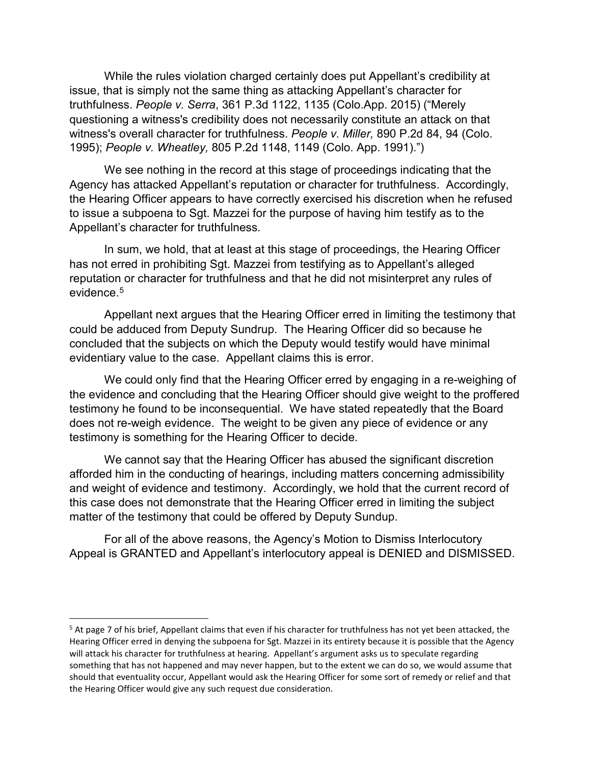While the rules violation charged certainly does put Appellant's credibility at issue, that is simply not the same thing as attacking Appellant's character for truthfulness. *People v. Serra*, 361 P.3d 1122, 1135 (Colo.App. 2015) ("Merely questioning a witness's credibility does not necessarily constitute an attack on that witness's overall character for truthfulness. *People v. Miller,* [890 P.2d 84, 94 \(Colo.](https://1.next.westlaw.com/Link/Document/FullText?findType=Y&serNum=1995044521&pubNum=0000661&originatingDoc=Ia79f927062df11e5adc7ad92236d9862&refType=RP&fi=co_pp_sp_661_94&originationContext=document&transitionType=DocumentItem&contextData=(sc.RelatedInfo)#co_pp_sp_661_94)  [1995\);](https://1.next.westlaw.com/Link/Document/FullText?findType=Y&serNum=1995044521&pubNum=0000661&originatingDoc=Ia79f927062df11e5adc7ad92236d9862&refType=RP&fi=co_pp_sp_661_94&originationContext=document&transitionType=DocumentItem&contextData=(sc.RelatedInfo)#co_pp_sp_661_94) *People v. Wheatley,* [805 P.2d 1148, 1149 \(Colo. App. 1991\).](https://1.next.westlaw.com/Link/Document/FullText?findType=Y&serNum=1990133533&pubNum=0000661&originatingDoc=Ia79f927062df11e5adc7ad92236d9862&refType=RP&fi=co_pp_sp_661_1149&originationContext=document&transitionType=DocumentItem&contextData=(sc.RelatedInfo)#co_pp_sp_661_1149)")

We see nothing in the record at this stage of proceedings indicating that the Agency has attacked Appellant's reputation or character for truthfulness. Accordingly, the Hearing Officer appears to have correctly exercised his discretion when he refused to issue a subpoena to Sgt. Mazzei for the purpose of having him testify as to the Appellant's character for truthfulness.

In sum, we hold, that at least at this stage of proceedings, the Hearing Officer has not erred in prohibiting Sgt. Mazzei from testifying as to Appellant's alleged reputation or character for truthfulness and that he did not misinterpret any rules of evidence.<sup>[5](#page-3-0)</sup>

Appellant next argues that the Hearing Officer erred in limiting the testimony that could be adduced from Deputy Sundrup. The Hearing Officer did so because he concluded that the subjects on which the Deputy would testify would have minimal evidentiary value to the case. Appellant claims this is error.

We could only find that the Hearing Officer erred by engaging in a re-weighing of the evidence and concluding that the Hearing Officer should give weight to the proffered testimony he found to be inconsequential. We have stated repeatedly that the Board does not re-weigh evidence. The weight to be given any piece of evidence or any testimony is something for the Hearing Officer to decide.

We cannot say that the Hearing Officer has abused the significant discretion afforded him in the conducting of hearings, including matters concerning admissibility and weight of evidence and testimony. Accordingly, we hold that the current record of this case does not demonstrate that the Hearing Officer erred in limiting the subject matter of the testimony that could be offered by Deputy Sundup.

For all of the above reasons, the Agency's Motion to Dismiss Interlocutory Appeal is GRANTED and Appellant's interlocutory appeal is DENIED and DISMISSED.

<span id="page-3-0"></span><sup>&</sup>lt;sup>5</sup> At page 7 of his brief, Appellant claims that even if his character for truthfulness has not yet been attacked, the Hearing Officer erred in denying the subpoena for Sgt. Mazzei in its entirety because it is possible that the Agency will attack his character for truthfulness at hearing. Appellant's argument asks us to speculate regarding something that has not happened and may never happen, but to the extent we can do so, we would assume that should that eventuality occur, Appellant would ask the Hearing Officer for some sort of remedy or relief and that the Hearing Officer would give any such request due consideration.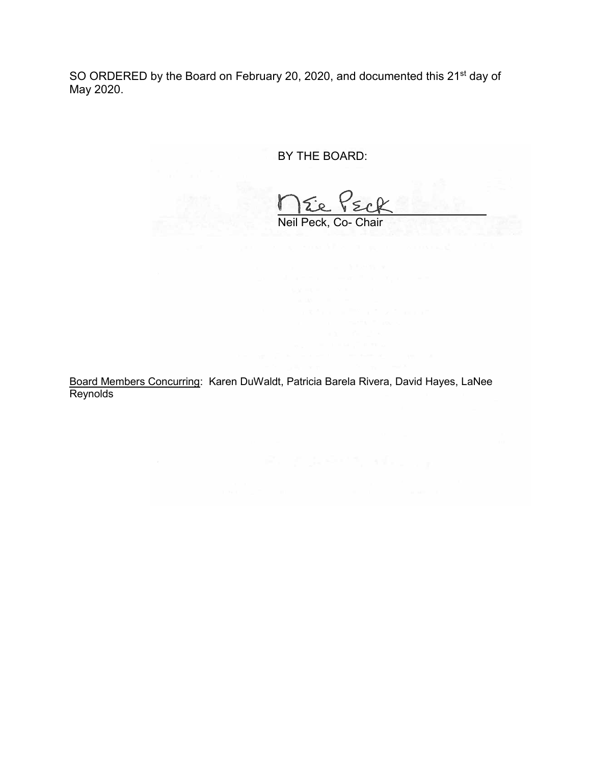SO ORDERED by the Board on February 20, 2020, and documented this 21<sup>st</sup> day of May 2020.

BY THE BOARD:

Neil Peck, Co- Chair

Board Members Concurring: Karen DuWaldt, Patricia Barela Rivera, David Hayes, LaNee Reynolds